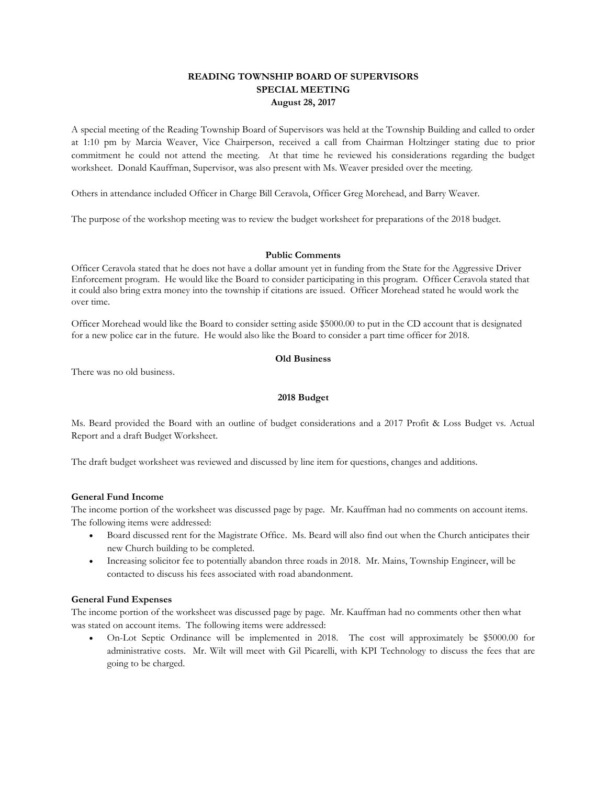# **READING TOWNSHIP BOARD OF SUPERVISORS SPECIAL MEETING August 28, 2017**

A special meeting of the Reading Township Board of Supervisors was held at the Township Building and called to order at 1:10 pm by Marcia Weaver, Vice Chairperson, received a call from Chairman Holtzinger stating due to prior commitment he could not attend the meeting. At that time he reviewed his considerations regarding the budget worksheet. Donald Kauffman, Supervisor, was also present with Ms. Weaver presided over the meeting.

Others in attendance included Officer in Charge Bill Ceravola, Officer Greg Morehead, and Barry Weaver.

The purpose of the workshop meeting was to review the budget worksheet for preparations of the 2018 budget.

#### **Public Comments**

Officer Ceravola stated that he does not have a dollar amount yet in funding from the State for the Aggressive Driver Enforcement program. He would like the Board to consider participating in this program. Officer Ceravola stated that it could also bring extra money into the township if citations are issued. Officer Morehead stated he would work the over time.

Officer Morehead would like the Board to consider setting aside \$5000.00 to put in the CD account that is designated for a new police car in the future. He would also like the Board to consider a part time officer for 2018.

### **Old Business**

There was no old business.

#### **2018 Budget**

Ms. Beard provided the Board with an outline of budget considerations and a 2017 Profit & Loss Budget vs. Actual Report and a draft Budget Worksheet.

The draft budget worksheet was reviewed and discussed by line item for questions, changes and additions.

# **General Fund Income**

The income portion of the worksheet was discussed page by page. Mr. Kauffman had no comments on account items. The following items were addressed:

- Board discussed rent for the Magistrate Office. Ms. Beard will also find out when the Church anticipates their new Church building to be completed.
- Increasing solicitor fee to potentially abandon three roads in 2018. Mr. Mains, Township Engineer, will be contacted to discuss his fees associated with road abandonment.

# **General Fund Expenses**

The income portion of the worksheet was discussed page by page. Mr. Kauffman had no comments other then what was stated on account items. The following items were addressed:

• On-Lot Septic Ordinance will be implemented in 2018. The cost will approximately be \$5000.00 for administrative costs. Mr. Wilt will meet with Gil Picarelli, with KPI Technology to discuss the fees that are going to be charged.